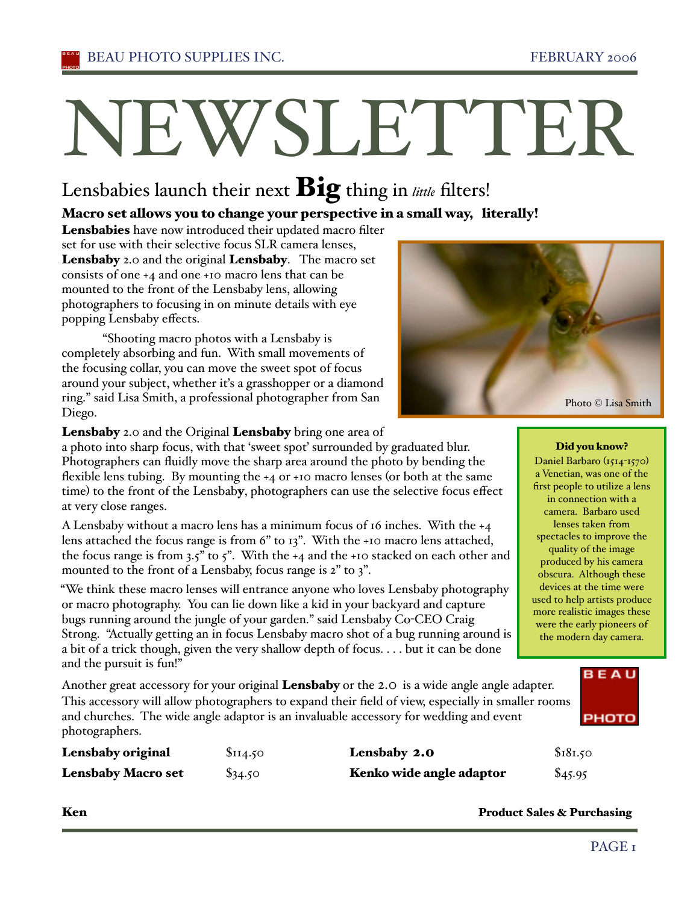# NEWSLETTER

# Lensbabies launch their next **Big** thing in little filters!

#### Macro set allows you to change your perspective in a small way, literally!

Lensbabies have now introduced their updated macro filter set for use with their selective focus SLR camera lenses, Lensbaby 2.0 and the original Lensbaby. The macro set consists of one +4 and one +10 macro lens that can be mounted to the front of the Lensbaby lens, allowing photographers to focusing in on minute details with eye popping Lensbaby effects.

"Shooting macro photos with a Lensbaby is completely absorbing and fun. With small movements of the focusing collar, you can move the sweet spot of focus around your subject, whether iťs a grasshopper or a diamond ring." said Lisa Smith, a professional photographer from San Diego.



Lensbaby 2.0 and the Original Lensbaby bring one area of

a photo into sharp focus, with that 'sweet spoť surrounded by graduated blur. Photographers can fluidly move the sharp area around the photo by bending the flexible lens tubing. By mounting the +4 or +10 macro lenses (or both at the same time) to the front of the Lensbaby, photographers can use the selective focus effect at very close ranges.

A Lensbaby without a macro lens has a minimum focus of 16 inches. With the +4 lens attached the focus range is from 6" to 13". With the +10 macro lens attached, the focus range is from  $3.5$ " to  $5$ ". With the  $+4$  and the  $+10$  stacked on each other and mounted to the front of a Lensbaby, focus range is 2" to 3".

"We think these macro lenses will entrance anyone who loves Lensbaby photography or macro photography. You can lie down like a kid in your backyard and capture bugs running around the jungle of your garden." said Lensbaby Co-CEO Craig Strong. "Actually getting an in focus Lensbaby macro shot of a bug running around is a bit of a trick though, given the very shallow depth of focus. . . . but it can be done and the pursuit is fun!"

Another great accessory for your original **Lensbaby** or the 2.0 is a wide angle angle adapter. This accessory will allow photographers to expand their field of view, especially in smaller rooms and churches. The wide angle adaptor is an invaluable accessory for wedding and event photographers.

| Lensbaby original         | \$114.50  | Lensbaby 2.0             | \$181.50 |
|---------------------------|-----------|--------------------------|----------|
| <b>Lensbaby Macro set</b> | $\$34.50$ | Kenko wide angle adaptor | \$45.95  |

**Ken** Product Sales & Purchasing

#### Did you know?

Daniel Barbaro (1514-1570) a Venetian, was one of the first people to utilize a lens in connection with a camera. Barbaro used lenses taken from spectacles to improve the quality of the image produced by his camera obscura. Although these devices at the time were used to help artists produce more realistic images these were the early pioneers of the modern day camera.

#### PAGE<sub>I</sub>

**BEAU** 

**PHOTO**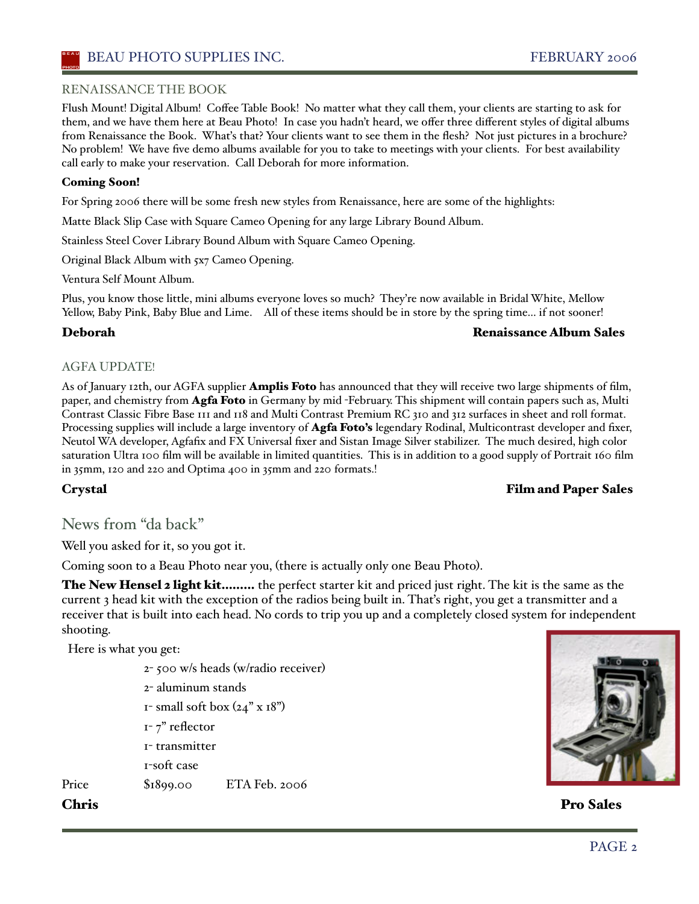#### RENAISSANCE THE BOOK

Flush Mount! Digital Album! Coffee Table Book! No matter what they call them, your clients are starting to ask for them, and we have them here at Beau Photo! In case you hadn't heard, we offer three different styles of digital albums from Renaissance the Book. Whaťs that? Your clients want to see them in the flesh? Not just pictures in a brochure? No problem! We have five demo albums available for you to take to meetings with your clients. For best availability call early to make your reservation. Call Deborah for more information.

#### Coming Soon!

For Spring 2006 there will be some fresh new styles from Renaissance, here are some of the highlights:

Matte Black Slip Case with Square Cameo Opening for any large Library Bound Album.

Stainless Steel Cover Library Bound Album with Square Cameo Opening.

Original Black Album with 5x7 Cameo Opening.

Ventura Self Mount Album.

Plus, you know those little, mini albums everyone loves so much? They're now available in Bridal White, Mellow Yellow, Baby Pink, Baby Blue and Lime. All of these items should be in store by the spring time... if not sooner!

#### Deborah Renaissance Album Sales

#### AGFA UPDATE!

As of January 12th, our AGFA supplier **Amplis Foto** has announced that they will receive two large shipments of film, paper, and chemistry from Agfa Foto in Germany by mid -February. This shipment will contain papers such as, Multi Contrast Classic Fibre Base 111 and 118 and Multi Contrast Premium RC 310 and 312 surfaces in sheet and roll format. Processing supplies will include a large inventory of **Agfa Foto's** legendary Rodinal, Multicontrast developer and fixer, Neutol WA developer, Agfafix and FX Universal fixer and Sistan Image Silver stabilizer. The much desired, high color saturation Ultra 100 film will be available in limited quantities. This is in addition to a good supply of Portrait 160 film in 35mm, 120 and 220 and Optima 400 in 35mm and 220 formats.!

#### Crystal Film and Paper Sales

#### News from "da back"

Well you asked for it, so you got it.

Coming soon to a Beau Photo near you, (there is actually only one Beau Photo).

The New Hensel 2 light kit......... the perfect starter kit and priced just right. The kit is the same as the current 3 head kit with the exception of the radios being built in. Thaťs right, you get a transmitter and a receiver that is built into each head. No cords to trip you up and a completely closed system for independent shooting.

Here is what you get:

- 2- 500 w/s heads (w/radio receiver)
- 2- aluminum stands
- $1$  small soft box  $(24" \times 18")$
- 1- 7" reflector
- 1- transmitter
- 1-soft case

Price \$1899.00 ETA Feb. 2006



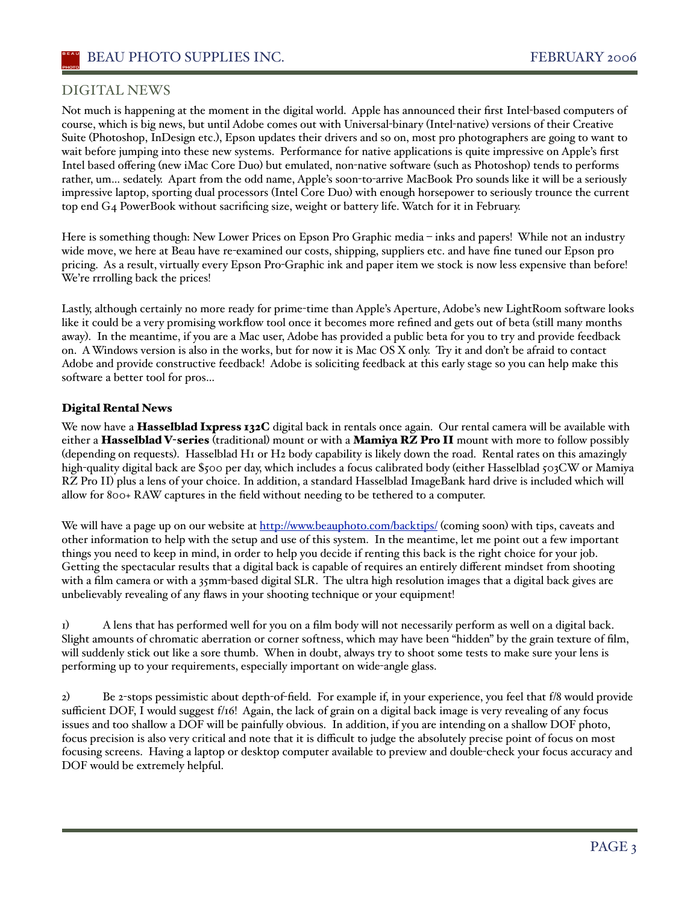#### DIGITAL NEWS

Not much is happening at the moment in the digital world. Apple has announced their first Intel-based computers of course, which is big news, but until Adobe comes out with Universal-binary (Intel-native) versions of their Creative Suite (Photoshop, InDesign etc.), Epson updates their drivers and so on, most pro photographers are going to want to wait before jumping into these new systems. Performance for native applications is quite impressive on Apple's first Intel based offering (new iMac Core Duo) but emulated, non-native software (such as Photoshop) tends to performs rather, um… sedately. Apart from the odd name, Apple's soon-to-arrive MacBook Pro sounds like it will be a seriously impressive laptop, sporting dual processors (Intel Core Duo) with enough horsepower to seriously trounce the current top end G4 PowerBook without sacrificing size, weight or battery life. Watch for it in February.

Here is something though: New Lower Prices on Epson Pro Graphic media – inks and papers! While not an industry wide move, we here at Beau have re-examined our costs, shipping, suppliers etc. and have fine tuned our Epson pro pricing. As a result, virtually every Epson Pro-Graphic ink and paper item we stock is now less expensive than before! We're rrrolling back the prices!

Lastly, although certainly no more ready for prime-time than Apple's Aperture, Adobe's new LightRoom software looks like it could be a very promising workflow tool once it becomes more refined and gets out of beta (still many months away). In the meantime, if you are a Mac user, Adobe has provided a public beta for you to try and provide feedback on. AWindows version is also in the works, but for now it is Mac OS X only. Try it and don't be afraid to contact Adobe and provide constructive feedback! Adobe is soliciting feedback at this early stage so you can help make this software a better tool for pros…

#### Digital Rental News

We now have a Hasselblad Ixpress 132C digital back in rentals once again. Our rental camera will be available with either a Hasselblad V-series (traditional) mount or with a Mamiya RZ Pro II mount with more to follow possibly (depending on requests). Hasselblad H1 or H2 body capability is likely down the road. Rental rates on this amazingly high-quality digital back are \$500 per day, which includes a focus calibrated body (either Hasselblad 503CW or Mamiya RZ Pro II) plus a lens of your choice. In addition, a standard Hasselblad ImageBank hard drive is included which will allow for 800+ RAW captures in the field without needing to be tethered to a computer.

We will have a page up on our website at http://www.beauphoto.com/backtips/ (coming soon) with tips, caveats and other information to help with the setup and use of this system. In the meantime, let me point out a few important things you need to keep in mind, in order to help you decide if renting this back is the right choice for your job. Getting the spectacular results that a digital back is capable of requires an entirely different mindset from shooting with a film camera or with a 35mm-based digital SLR. The ultra high resolution images that a digital back gives are unbelievably revealing of any flaws in your shooting technique or your equipment!

1) A lens that has performed well for you on a film body will not necessarily perform as well on a digital back. Slight amounts of chromatic aberration or corner softness, which may have been "hidden" by the grain texture of film, will suddenly stick out like a sore thumb. When in doubt, always try to shoot some tests to make sure your lens is performing up to your requirements, especially important on wide-angle glass.

2) Be 2-stops pessimistic about depth-of-field. For example if, in your experience, you feel that f/8 would provide sufficient DOF, I would suggest f/16! Again, the lack of grain on a digital back image is very revealing of any focus issues and too shallow a DOF will be painfully obvious. In addition, if you are intending on a shallow DOF photo, focus precision is also very critical and note that it is difficult to judge the absolutely precise point of focus on most focusing screens. Having a laptop or desktop computer available to preview and double-check your focus accuracy and DOF would be extremely helpful.